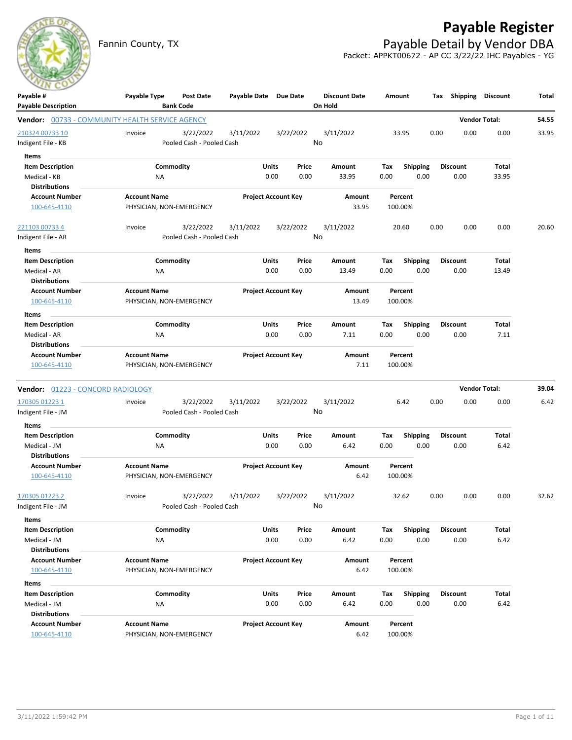## **Payable Register**

Fannin County, TX **Payable Detail by Vendor DBA** Packet: APPKT00672 - AP CC 3/22/22 IHC Payables - YG

| Payable #                              | Payable Type<br>Post Date                       | Payable Date Due Date      |           | <b>Discount Date</b> | Amount                 | Tax  | Shipping        | <b>Discount</b>      | Total |
|----------------------------------------|-------------------------------------------------|----------------------------|-----------|----------------------|------------------------|------|-----------------|----------------------|-------|
| <b>Payable Description</b>             | <b>Bank Code</b>                                |                            |           | On Hold              |                        |      |                 |                      |       |
|                                        | Vendor: 00733 - COMMUNITY HEALTH SERVICE AGENCY |                            |           |                      |                        |      |                 | <b>Vendor Total:</b> | 54.55 |
| 210324 00733 10                        | 3/22/2022<br>Invoice                            | 3/11/2022                  | 3/22/2022 | 3/11/2022            | 33.95                  | 0.00 | 0.00            | 0.00                 | 33.95 |
| Indigent File - KB                     | Pooled Cash - Pooled Cash                       |                            |           | No                   |                        |      |                 |                      |       |
| Items                                  |                                                 |                            |           |                      |                        |      |                 |                      |       |
| <b>Item Description</b>                | Commodity                                       | Units                      | Price     | Amount               | <b>Shipping</b><br>Tax |      | <b>Discount</b> | Total                |       |
| Medical - KB                           | ΝA                                              | 0.00                       | 0.00      | 33.95                | 0.00                   | 0.00 | 0.00            | 33.95                |       |
| <b>Distributions</b>                   |                                                 |                            |           |                      |                        |      |                 |                      |       |
| <b>Account Number</b>                  | <b>Account Name</b>                             | <b>Project Account Key</b> |           | Amount               | Percent                |      |                 |                      |       |
| 100-645-4110                           | PHYSICIAN, NON-EMERGENCY                        |                            |           | 33.95                | 100.00%                |      |                 |                      |       |
| <u>221103 00733 4</u>                  | 3/22/2022<br>Invoice                            | 3/11/2022                  | 3/22/2022 | 3/11/2022            | 20.60                  | 0.00 | 0.00            | 0.00                 | 20.60 |
| Indigent File - AR                     | Pooled Cash - Pooled Cash                       |                            |           | No                   |                        |      |                 |                      |       |
| <b>Items</b>                           |                                                 |                            |           |                      |                        |      |                 |                      |       |
| <b>Item Description</b>                | Commodity                                       | <b>Units</b>               | Price     | Amount               | Tax<br><b>Shipping</b> |      | <b>Discount</b> | Total                |       |
| Medical - AR                           | <b>NA</b>                                       | 0.00                       | 0.00      | 13.49                | 0.00                   | 0.00 | 0.00            | 13.49                |       |
| <b>Distributions</b>                   |                                                 |                            |           |                      |                        |      |                 |                      |       |
| <b>Account Number</b>                  | <b>Account Name</b>                             | <b>Project Account Key</b> |           | Amount               | Percent                |      |                 |                      |       |
| 100-645-4110                           | PHYSICIAN, NON-EMERGENCY                        |                            |           | 13.49                | 100.00%                |      |                 |                      |       |
| Items                                  |                                                 |                            |           |                      |                        |      |                 |                      |       |
| <b>Item Description</b>                | Commodity                                       | Units                      | Price     | Amount               | <b>Shipping</b><br>Тах |      | <b>Discount</b> | Total                |       |
| Medical - AR                           | ΝA                                              | 0.00                       | 0.00      | 7.11                 | 0.00                   | 0.00 | 0.00            | 7.11                 |       |
| Distributions<br><b>Account Number</b> | <b>Account Name</b>                             | <b>Project Account Key</b> |           | Amount               | Percent                |      |                 |                      |       |
| 100-645-4110                           | PHYSICIAN, NON-EMERGENCY                        |                            |           | 7.11                 | 100.00%                |      |                 |                      |       |
|                                        |                                                 |                            |           |                      |                        |      |                 |                      |       |
| Vendor: 01223 - CONCORD RADIOLOGY      |                                                 |                            |           |                      |                        |      |                 | <b>Vendor Total:</b> | 39.04 |
| 170305 01223 1                         | 3/22/2022<br>Invoice                            | 3/11/2022                  | 3/22/2022 | 3/11/2022            | 6.42                   | 0.00 | 0.00            | 0.00                 | 6.42  |
| Indigent File - JM                     | Pooled Cash - Pooled Cash                       |                            |           | No                   |                        |      |                 |                      |       |
| Items                                  |                                                 |                            |           |                      |                        |      |                 |                      |       |
| <b>Item Description</b>                | Commodity                                       | Units                      | Price     | Amount               | Shipping<br>Tax        |      | <b>Discount</b> | Total                |       |
| Medical - JM                           | ΝA                                              | 0.00                       | 0.00      | 6.42                 | 0.00                   | 0.00 | 0.00            | 6.42                 |       |
| <b>Distributions</b>                   |                                                 |                            |           |                      |                        |      |                 |                      |       |
| <b>Account Number</b>                  | <b>Account Name</b>                             | <b>Project Account Key</b> |           | Amount               | Percent                |      |                 |                      |       |
| 100-645-4110                           | PHYSICIAN, NON-EMERGENCY                        |                            |           | 6.42                 | 100.00%                |      |                 |                      |       |
| 170305 01223 2                         | Invoice<br>3/22/2022                            | 3/11/2022                  | 3/22/2022 | 3/11/2022            | 32.62                  | 0.00 | 0.00            | 0.00                 | 32.62 |
| Indigent File - JM                     | Pooled Cash - Pooled Cash                       |                            |           | No                   |                        |      |                 |                      |       |
| Items                                  |                                                 |                            |           |                      |                        |      |                 |                      |       |
| <b>Item Description</b>                | Commodity                                       | Units                      | Price     | Amount               | Shipping<br>Tax        |      | <b>Discount</b> | Total                |       |
| Medical - JM                           | NA                                              | 0.00                       | 0.00      | 6.42                 | 0.00                   | 0.00 | 0.00            | 6.42                 |       |
| <b>Distributions</b>                   |                                                 |                            |           |                      |                        |      |                 |                      |       |
| <b>Account Number</b>                  | <b>Account Name</b>                             | <b>Project Account Key</b> |           | Amount               | Percent                |      |                 |                      |       |
| 100-645-4110                           | PHYSICIAN, NON-EMERGENCY                        |                            |           | 6.42                 | 100.00%                |      |                 |                      |       |
| Items                                  |                                                 |                            |           |                      |                        |      |                 |                      |       |
| <b>Item Description</b>                | Commodity                                       | Units                      | Price     | Amount               | Tax<br><b>Shipping</b> |      | Discount        | Total                |       |
| Medical - JM                           | ΝA                                              | 0.00                       | 0.00      | 6.42                 | 0.00                   | 0.00 | 0.00            | 6.42                 |       |
| <b>Distributions</b>                   |                                                 |                            |           |                      |                        |      |                 |                      |       |
| <b>Account Number</b>                  | <b>Account Name</b>                             | <b>Project Account Key</b> |           | Amount               | Percent                |      |                 |                      |       |
| 100-645-4110                           | PHYSICIAN, NON-EMERGENCY                        |                            |           | 6.42                 | 100.00%                |      |                 |                      |       |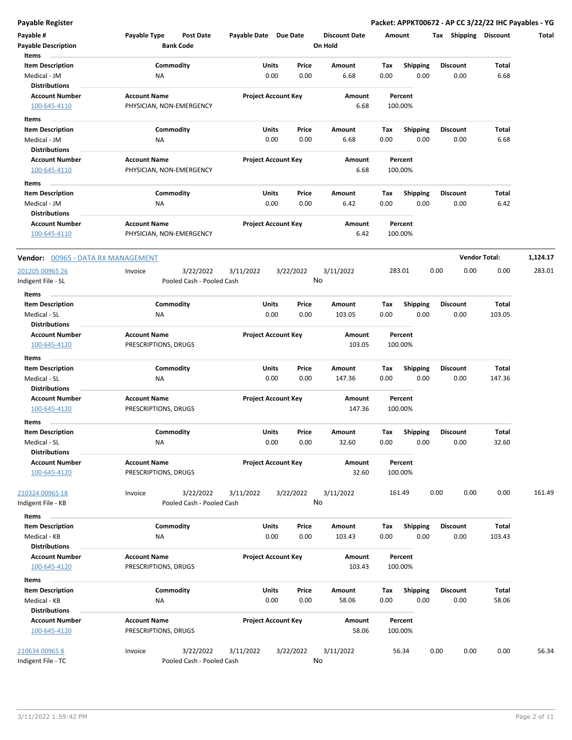**Payable Register Packet: APPKT00672 - AP CC 3/22/22 IHC Payables - YG**

| Payable #<br><b>Payable Description</b>          | Payable Type<br>Post Date<br><b>Bank Code</b>     |           | Payable Date Due Date          | <b>Discount Date</b><br>On Hold | Amount             |                         | Tax Shipping            | <b>Discount</b>      | Total    |
|--------------------------------------------------|---------------------------------------------------|-----------|--------------------------------|---------------------------------|--------------------|-------------------------|-------------------------|----------------------|----------|
| Items<br><b>Item Description</b><br>Medical - JM | Commodity<br>ΝA                                   |           | Units<br>Price<br>0.00<br>0.00 | Amount<br>6.68                  | Tax<br>0.00        | <b>Shipping</b><br>0.00 | <b>Discount</b><br>0.00 | Total<br>6.68        |          |
| <b>Distributions</b>                             |                                                   |           |                                |                                 |                    |                         |                         |                      |          |
| <b>Account Number</b>                            | <b>Account Name</b>                               |           | <b>Project Account Key</b>     | Amount                          | Percent            |                         |                         |                      |          |
| 100-645-4110                                     | PHYSICIAN, NON-EMERGENCY                          |           |                                | 6.68                            | 100.00%            |                         |                         |                      |          |
| Items                                            |                                                   |           |                                |                                 |                    |                         |                         |                      |          |
| <b>Item Description</b>                          | Commodity                                         |           | Units<br>Price                 | Amount                          | Tax                | <b>Shipping</b>         | <b>Discount</b>         | Total                |          |
| Medical - JM                                     | NA                                                |           | 0.00<br>0.00                   | 6.68                            | 0.00               | 0.00                    | 0.00                    | 6.68                 |          |
| <b>Distributions</b>                             |                                                   |           |                                |                                 |                    |                         |                         |                      |          |
| <b>Account Number</b>                            | <b>Account Name</b>                               |           | <b>Project Account Key</b>     | <b>Amount</b>                   | Percent            |                         |                         |                      |          |
| 100-645-4110                                     | PHYSICIAN, NON-EMERGENCY                          |           |                                | 6.68                            | 100.00%            |                         |                         |                      |          |
| Items                                            |                                                   |           |                                |                                 |                    |                         |                         |                      |          |
| <b>Item Description</b>                          | Commodity                                         |           | Units<br>Price                 | Amount                          | Tax                | <b>Shipping</b>         | <b>Discount</b>         | Total                |          |
| Medical - JM                                     | ΝA                                                |           | 0.00<br>0.00                   | 6.42                            | 0.00               | 0.00                    | 0.00                    | 6.42                 |          |
| <b>Distributions</b>                             |                                                   |           |                                |                                 |                    |                         |                         |                      |          |
| <b>Account Number</b><br>100-645-4110            | <b>Account Name</b><br>PHYSICIAN, NON-EMERGENCY   |           | <b>Project Account Key</b>     | <b>Amount</b><br>6.42           | Percent<br>100.00% |                         |                         |                      |          |
| Vendor: 00965 - DATA RX MANAGEMENT               |                                                   |           |                                |                                 |                    |                         |                         | <b>Vendor Total:</b> | 1,124.17 |
| 201205 00965 26                                  | 3/22/2022<br>Invoice                              | 3/11/2022 | 3/22/2022                      | 3/11/2022                       | 283.01             |                         | 0.00<br>0.00            | 0.00                 | 283.01   |
| Indigent File - SL<br>Items                      | Pooled Cash - Pooled Cash                         |           |                                | No                              |                    |                         |                         |                      |          |
| <b>Item Description</b>                          | Commodity                                         |           | Units<br>Price                 | Amount                          | Tax                | <b>Shipping</b>         | <b>Discount</b>         | Total                |          |
| Medical - SL                                     | ΝA                                                |           | 0.00<br>0.00                   | 103.05                          | 0.00               | 0.00                    | 0.00                    | 103.05               |          |
| <b>Distributions</b>                             |                                                   |           |                                |                                 |                    |                         |                         |                      |          |
| <b>Account Number</b>                            | <b>Account Name</b>                               |           | <b>Project Account Key</b>     | Amount                          | Percent            |                         |                         |                      |          |
| 100-645-4120                                     | PRESCRIPTIONS, DRUGS                              |           |                                | 103.05                          | 100.00%            |                         |                         |                      |          |
| Items                                            |                                                   |           |                                |                                 |                    |                         |                         |                      |          |
| <b>Item Description</b>                          | Commodity                                         |           | Units<br>Price                 | Amount                          | Tax                | <b>Shipping</b>         | <b>Discount</b>         | Total                |          |
| Medical - SL                                     | ΝA                                                |           | 0.00<br>0.00                   | 147.36                          | 0.00               | 0.00                    | 0.00                    | 147.36               |          |
| <b>Distributions</b>                             |                                                   |           |                                |                                 |                    |                         |                         |                      |          |
| <b>Account Number</b>                            | <b>Account Name</b>                               |           | <b>Project Account Key</b>     | Amount                          | Percent            |                         |                         |                      |          |
| 100-645-4120                                     | PRESCRIPTIONS, DRUGS                              |           |                                | 147.36                          | 100.00%            |                         |                         |                      |          |
| Items                                            |                                                   |           |                                |                                 |                    |                         |                         |                      |          |
| <b>Item Description</b>                          | Commodity                                         |           | Units<br>Price                 | Amount                          | Tax                | <b>Shipping</b>         | <b>Discount</b>         | Total                |          |
| Medical - SL<br><b>Distributions</b>             | ΝA                                                |           | 0.00<br>0.00                   | 32.60                           | 0.00               | 0.00                    | 0.00                    | 32.60                |          |
| <b>Account Number</b>                            | <b>Account Name</b>                               |           | <b>Project Account Key</b>     | Amount                          | Percent            |                         |                         |                      |          |
| 100-645-4120                                     | PRESCRIPTIONS, DRUGS                              |           |                                | 32.60                           | 100.00%            |                         |                         |                      |          |
| 210324 00965 18<br>Indigent File - KB            | 3/22/2022<br>Invoice<br>Pooled Cash - Pooled Cash | 3/11/2022 | 3/22/2022                      | 3/11/2022<br>No                 | 161.49             |                         | 0.00<br>0.00            | 0.00                 | 161.49   |
| Items                                            |                                                   |           |                                |                                 |                    |                         |                         |                      |          |
| <b>Item Description</b>                          | Commodity                                         |           | Units<br>Price                 | Amount                          | Tax                | <b>Shipping</b>         | <b>Discount</b>         | Total                |          |
| Medical - KB                                     | ΝA                                                |           | 0.00<br>0.00                   | 103.43                          | 0.00               | 0.00                    | 0.00                    | 103.43               |          |
| <b>Distributions</b>                             |                                                   |           |                                |                                 |                    |                         |                         |                      |          |
| <b>Account Number</b>                            | <b>Account Name</b>                               |           | <b>Project Account Key</b>     | Amount                          | Percent            |                         |                         |                      |          |
| 100-645-4120                                     | PRESCRIPTIONS, DRUGS                              |           |                                | 103.43                          | 100.00%            |                         |                         |                      |          |
| Items                                            |                                                   |           |                                |                                 |                    |                         |                         |                      |          |
| <b>Item Description</b>                          | Commodity                                         |           | Units<br>Price                 | Amount                          | Tax                | Shipping                | <b>Discount</b>         | Total                |          |
| Medical - KB<br><b>Distributions</b>             | ΝA                                                |           | 0.00<br>0.00                   | 58.06                           | 0.00               | 0.00                    | 0.00                    | 58.06                |          |
| <b>Account Number</b>                            | <b>Account Name</b>                               |           | <b>Project Account Key</b>     | Amount                          | Percent            |                         |                         |                      |          |
| 100-645-4120                                     | PRESCRIPTIONS, DRUGS                              |           |                                | 58.06                           | 100.00%            |                         |                         |                      |          |
| 210634 00965 8                                   | 3/22/2022<br>Invoice                              | 3/11/2022 | 3/22/2022                      | 3/11/2022                       | 56.34              |                         | 0.00<br>0.00            | 0.00                 | 56.34    |
| Indigent File - TC                               | Pooled Cash - Pooled Cash                         |           |                                | No                              |                    |                         |                         |                      |          |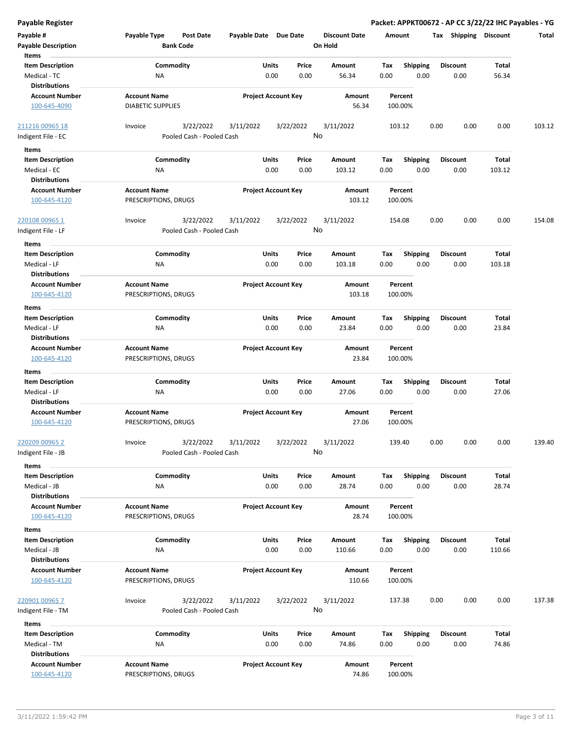|  |  | Payable Register |
|--|--|------------------|
|  |  |                  |

| Payable #                           | Payable Type<br>Post Date | Payable Date Due Date |                            | <b>Discount Date</b> | Amount  |                 | Tax Shipping    | Discount | Total  |
|-------------------------------------|---------------------------|-----------------------|----------------------------|----------------------|---------|-----------------|-----------------|----------|--------|
| <b>Payable Description</b><br>Items | <b>Bank Code</b>          |                       |                            | On Hold              |         |                 |                 |          |        |
| <b>Item Description</b>             | Commodity                 | Units                 | Price                      | Amount               | Tax     | Shipping        | <b>Discount</b> | Total    |        |
| Medical - TC                        | NA                        |                       | 0.00<br>0.00               | 56.34                | 0.00    | 0.00            | 0.00            | 56.34    |        |
| <b>Distributions</b>                |                           |                       |                            |                      |         |                 |                 |          |        |
| <b>Account Number</b>               | <b>Account Name</b>       |                       | <b>Project Account Key</b> | Amount               | Percent |                 |                 |          |        |
| 100-645-4090                        | <b>DIABETIC SUPPLIES</b>  |                       |                            | 56.34                | 100.00% |                 |                 |          |        |
| <u>211216 00965 18</u>              | 3/22/2022<br>Invoice      | 3/11/2022             | 3/22/2022                  | 3/11/2022            | 103.12  |                 | 0.00<br>0.00    | 0.00     | 103.12 |
| Indigent File - EC                  | Pooled Cash - Pooled Cash |                       |                            | No                   |         |                 |                 |          |        |
| Items                               |                           |                       |                            |                      |         |                 |                 |          |        |
| <b>Item Description</b>             | Commodity                 | Units                 | Price                      | Amount               | Tax     | Shipping        | <b>Discount</b> | Total    |        |
| Medical - EC                        | ΝA                        |                       | 0.00<br>0.00               | 103.12               | 0.00    | 0.00            | 0.00            | 103.12   |        |
| <b>Distributions</b>                |                           |                       |                            |                      |         |                 |                 |          |        |
| <b>Account Number</b>               | <b>Account Name</b>       |                       | <b>Project Account Key</b> | Amount               | Percent |                 |                 |          |        |
| 100-645-4120                        | PRESCRIPTIONS, DRUGS      |                       |                            | 103.12               | 100.00% |                 |                 |          |        |
| <u>220108 00965 1</u>               | 3/22/2022<br>Invoice      | 3/11/2022             | 3/22/2022                  | 3/11/2022            | 154.08  |                 | 0.00<br>0.00    | 0.00     | 154.08 |
| Indigent File - LF                  | Pooled Cash - Pooled Cash |                       |                            | No                   |         |                 |                 |          |        |
| Items                               |                           |                       |                            |                      |         |                 |                 |          |        |
| <b>Item Description</b>             | Commodity                 | <b>Units</b>          | Price                      | Amount               | Tax     | <b>Shipping</b> | Discount        | Total    |        |
| Medical - LF                        | ΝA                        |                       | 0.00<br>0.00               | 103.18               | 0.00    | 0.00            | 0.00            | 103.18   |        |
| <b>Distributions</b>                |                           |                       |                            |                      |         |                 |                 |          |        |
| <b>Account Number</b>               | <b>Account Name</b>       |                       | <b>Project Account Key</b> | Amount               | Percent |                 |                 |          |        |
| 100-645-4120                        | PRESCRIPTIONS, DRUGS      |                       |                            | 103.18               | 100.00% |                 |                 |          |        |
| Items                               |                           |                       |                            |                      |         |                 |                 |          |        |
| <b>Item Description</b>             | Commodity                 | Units                 | Price                      | Amount               | Tax     | <b>Shipping</b> | <b>Discount</b> | Total    |        |
| Medical - LF                        | NA                        |                       | 0.00<br>0.00               | 23.84                | 0.00    | 0.00            | 0.00            | 23.84    |        |
| Distributions                       |                           |                       |                            |                      |         |                 |                 |          |        |
| <b>Account Number</b>               | <b>Account Name</b>       |                       | <b>Project Account Key</b> | Amount               | Percent |                 |                 |          |        |
| 100-645-4120                        | PRESCRIPTIONS, DRUGS      |                       |                            | 23.84                | 100.00% |                 |                 |          |        |
|                                     |                           |                       |                            |                      |         |                 |                 |          |        |
| Items                               |                           |                       |                            |                      |         |                 |                 |          |        |
| <b>Item Description</b>             | Commodity                 | <b>Units</b>          | Price                      | Amount               | Tax     | Shipping        | Discount        | Total    |        |
| Medical - LF                        | NA                        |                       | 0.00<br>0.00               | 27.06                | 0.00    | 0.00            | 0.00            | 27.06    |        |
| <b>Distributions</b>                |                           |                       |                            |                      |         |                 |                 |          |        |
| <b>Account Number</b>               | <b>Account Name</b>       |                       | <b>Project Account Key</b> | Amount               | Percent |                 |                 |          |        |
| 100-645-4120                        | PRESCRIPTIONS, DRUGS      |                       |                            | 27.06                | 100.00% |                 |                 |          |        |
| 220209 00965 2                      | 3/22/2022<br>Invoice      | 3/11/2022             | 3/22/2022                  | 3/11/2022            | 139.40  |                 | 0.00<br>0.00    | 0.00     | 139.40 |
| ndigent File - JB                   | Pooled Cash - Pooled Cash |                       |                            | No                   |         |                 |                 |          |        |
| Items                               |                           |                       |                            |                      |         |                 |                 |          |        |
| <b>Item Description</b>             | Commodity                 | Units                 | Price                      | Amount               | Tax     | Shipping        | <b>Discount</b> | Total    |        |
| Medical - JB                        | NA                        |                       | 0.00<br>0.00               | 28.74                | 0.00    | 0.00            | 0.00            | 28.74    |        |
| <b>Distributions</b>                |                           |                       |                            |                      |         |                 |                 |          |        |
| <b>Account Number</b>               | <b>Account Name</b>       |                       | <b>Project Account Key</b> | Amount               | Percent |                 |                 |          |        |
| 100-645-4120                        | PRESCRIPTIONS, DRUGS      |                       |                            | 28.74                | 100.00% |                 |                 |          |        |
| Items                               |                           |                       |                            |                      |         |                 |                 |          |        |
| <b>Item Description</b>             | Commodity                 | <b>Units</b>          | Price                      | Amount               | Tax     | <b>Shipping</b> | <b>Discount</b> | Total    |        |
| Medical - JB                        | NA                        |                       | 0.00<br>0.00               | 110.66               | 0.00    | 0.00            | 0.00            | 110.66   |        |
| <b>Distributions</b>                |                           |                       |                            |                      |         |                 |                 |          |        |
| <b>Account Number</b>               | <b>Account Name</b>       |                       | <b>Project Account Key</b> | Amount               | Percent |                 |                 |          |        |
| 100-645-4120                        | PRESCRIPTIONS, DRUGS      |                       |                            | 110.66               | 100.00% |                 |                 |          |        |
|                                     |                           |                       |                            |                      |         |                 |                 |          |        |
| 220901 00965 7                      | 3/22/2022<br>Invoice      | 3/11/2022             | 3/22/2022                  | 3/11/2022            | 137.38  |                 | 0.00<br>0.00    | 0.00     | 137.38 |
| Indigent File - TM                  | Pooled Cash - Pooled Cash |                       |                            | No                   |         |                 |                 |          |        |
|                                     |                           |                       |                            |                      |         |                 |                 |          |        |
| Items                               |                           |                       |                            |                      |         |                 |                 |          |        |
| <b>Item Description</b>             | Commodity                 | Units                 | Price                      | Amount               | Tax     | Shipping        | <b>Discount</b> | Total    |        |
| Medical - TM                        | NA                        |                       | 0.00<br>0.00               | 74.86                | 0.00    | 0.00            | 0.00            | 74.86    |        |
| <b>Distributions</b>                |                           |                       |                            |                      |         |                 |                 |          |        |
| <b>Account Number</b>               | <b>Account Name</b>       |                       | <b>Project Account Key</b> | Amount               | Percent |                 |                 |          |        |
| 100-645-4120                        | PRESCRIPTIONS, DRUGS      |                       |                            | 74.86                | 100.00% |                 |                 |          |        |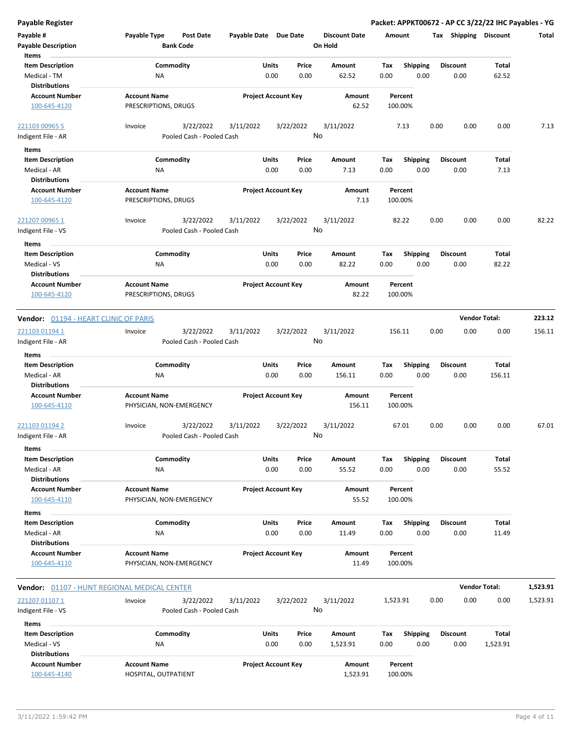| Payable #<br><b>Payable Description</b><br>Items              | Payable Type                                    | <b>Post Date</b><br><b>Bank Code</b>   | Payable Date Due Date |                            |               | <b>Discount Date</b><br>On Hold | Amount      |                         |      | Tax Shipping            | <b>Discount</b>      | Total    |
|---------------------------------------------------------------|-------------------------------------------------|----------------------------------------|-----------------------|----------------------------|---------------|---------------------------------|-------------|-------------------------|------|-------------------------|----------------------|----------|
| <b>Item Description</b><br>Medical - TM                       | <b>NA</b>                                       | Commodity                              |                       | Units<br>0.00              | Price<br>0.00 | Amount<br>62.52                 | Tax<br>0.00 | <b>Shipping</b><br>0.00 |      | <b>Discount</b><br>0.00 | Total<br>62.52       |          |
| <b>Distributions</b><br><b>Account Number</b><br>100-645-4120 | <b>Account Name</b><br>PRESCRIPTIONS, DRUGS     |                                        |                       | <b>Project Account Key</b> |               | Amount<br>62.52                 |             | Percent<br>100.00%      |      |                         |                      |          |
| 221103 00965 5<br>Indigent File - AR                          | Invoice                                         | 3/22/2022<br>Pooled Cash - Pooled Cash | 3/11/2022             | 3/22/2022                  |               | 3/11/2022<br>No                 |             | 7.13                    | 0.00 | 0.00                    | 0.00                 | 7.13     |
| Items                                                         |                                                 |                                        |                       |                            |               |                                 |             |                         |      |                         |                      |          |
| <b>Item Description</b>                                       |                                                 | Commodity                              |                       | Units                      | Price         | Amount                          | Tax         | <b>Shipping</b>         |      | <b>Discount</b>         | Total                |          |
| Medical - AR                                                  | ΝA                                              |                                        |                       | 0.00                       | 0.00          | 7.13                            | 0.00        | 0.00                    |      | 0.00                    | 7.13                 |          |
| <b>Distributions</b>                                          |                                                 |                                        |                       |                            |               |                                 |             |                         |      |                         |                      |          |
| <b>Account Number</b><br>100-645-4120                         | <b>Account Name</b><br>PRESCRIPTIONS, DRUGS     |                                        |                       | <b>Project Account Key</b> |               | Amount<br>7.13                  |             | Percent<br>100.00%      |      |                         |                      |          |
| <u>221207 00965 1</u>                                         | Invoice                                         | 3/22/2022                              | 3/11/2022             | 3/22/2022                  |               | 3/11/2022                       |             | 82.22                   | 0.00 | 0.00                    | 0.00                 | 82.22    |
| Indigent File - VS<br>Items                                   |                                                 | Pooled Cash - Pooled Cash              |                       |                            |               | No                              |             |                         |      |                         |                      |          |
| <b>Item Description</b>                                       |                                                 | Commodity                              |                       | Units                      | Price         | Amount                          | Tax         | <b>Shipping</b>         |      | <b>Discount</b>         | Total                |          |
| Medical - VS                                                  | <b>NA</b>                                       |                                        |                       | 0.00                       | 0.00          | 82.22                           | 0.00        | 0.00                    |      | 0.00                    | 82.22                |          |
| <b>Distributions</b>                                          |                                                 |                                        |                       |                            |               |                                 |             |                         |      |                         |                      |          |
| <b>Account Number</b><br>100-645-4120                         | <b>Account Name</b><br>PRESCRIPTIONS, DRUGS     |                                        |                       | <b>Project Account Key</b> |               | <b>Amount</b><br>82.22          |             | Percent<br>100.00%      |      |                         |                      |          |
| Vendor: 01194 - HEART CLINIC OF PARIS                         |                                                 |                                        |                       |                            |               |                                 |             |                         |      |                         | <b>Vendor Total:</b> | 223.12   |
| <u>221103 01194 1</u>                                         | Invoice                                         | 3/22/2022                              | 3/11/2022             | 3/22/2022                  |               | 3/11/2022                       | 156.11      |                         | 0.00 | 0.00                    | 0.00                 | 156.11   |
| Indigent File - AR<br>Items                                   |                                                 | Pooled Cash - Pooled Cash              |                       |                            |               | No                              |             |                         |      |                         |                      |          |
| <b>Item Description</b>                                       |                                                 | Commodity                              |                       | Units                      | Price         | Amount                          | Tax         | <b>Shipping</b>         |      | <b>Discount</b>         | <b>Total</b>         |          |
| Medical - AR<br><b>Distributions</b>                          | NA                                              |                                        |                       | 0.00                       | 0.00          | 156.11                          | 0.00        | 0.00                    |      | 0.00                    | 156.11               |          |
| <b>Account Number</b><br>100-645-4110                         | <b>Account Name</b><br>PHYSICIAN, NON-EMERGENCY |                                        |                       | <b>Project Account Key</b> |               | Amount<br>156.11                |             | Percent<br>100.00%      |      |                         |                      |          |
| 221103 01194 2<br>Indigent File - AR                          | Invoice                                         | 3/22/2022<br>Pooled Cash - Pooled Cash | 3/11/2022             | 3/22/2022                  |               | 3/11/2022<br>No                 |             | 67.01                   | 0.00 | 0.00                    | 0.00                 | 67.01    |
| Items<br><b>Item Description</b>                              |                                                 | Commodity                              |                       | Units                      | Price         | Amount                          | Тах         | <b>Shipping</b>         |      | <b>Discount</b>         | Total                |          |
| Medical - AR                                                  | ΝA                                              |                                        |                       | 0.00                       | 0.00          | 55.52                           | 0.00        | 0.00                    |      | 0.00                    | 55.52                |          |
| <b>Distributions</b><br><b>Account Number</b><br>100-645-4110 | <b>Account Name</b><br>PHYSICIAN, NON-EMERGENCY |                                        |                       | <b>Project Account Key</b> |               | Amount<br>55.52                 |             | Percent<br>100.00%      |      |                         |                      |          |
| Items                                                         |                                                 |                                        |                       |                            |               |                                 |             |                         |      |                         |                      |          |
| <b>Item Description</b>                                       |                                                 | Commodity                              |                       | Units                      | Price         | Amount                          | Tax         | Shipping                |      | <b>Discount</b>         | Total                |          |
| Medical - AR<br><b>Distributions</b>                          | ΝA                                              |                                        |                       | 0.00                       | 0.00          | 11.49                           | 0.00        | 0.00                    |      | 0.00                    | 11.49                |          |
| <b>Account Number</b>                                         | <b>Account Name</b>                             |                                        |                       | <b>Project Account Key</b> |               | Amount                          |             | Percent                 |      |                         |                      |          |
| 100-645-4110                                                  | PHYSICIAN, NON-EMERGENCY                        |                                        |                       |                            |               | 11.49                           |             | 100.00%                 |      |                         |                      |          |
| <b>Vendor:</b> 01107 - HUNT REGIONAL MEDICAL CENTER           |                                                 |                                        |                       |                            |               |                                 |             |                         |      |                         | <b>Vendor Total:</b> | 1,523.91 |
| 221207 01107 1                                                | Invoice                                         | 3/22/2022                              | 3/11/2022             | 3/22/2022                  |               | 3/11/2022                       | 1,523.91    |                         | 0.00 | 0.00                    | 0.00                 | 1,523.91 |
| Indigent File - VS                                            |                                                 | Pooled Cash - Pooled Cash              |                       |                            |               | No                              |             |                         |      |                         |                      |          |
| Items                                                         |                                                 |                                        |                       |                            |               |                                 |             |                         |      |                         |                      |          |
| <b>Item Description</b>                                       |                                                 | Commodity                              |                       | Units<br>0.00              | Price<br>0.00 | Amount                          | Tax         | Shipping<br>0.00        |      | <b>Discount</b>         | Total                |          |
| Medical - VS<br><b>Distributions</b>                          | NA                                              |                                        |                       |                            |               | 1,523.91                        | 0.00        |                         |      | 0.00                    | 1,523.91             |          |
| <b>Account Number</b>                                         | <b>Account Name</b>                             |                                        |                       | <b>Project Account Key</b> |               | Amount                          |             | Percent                 |      |                         |                      |          |
| 100-645-4140                                                  | HOSPITAL, OUTPATIENT                            |                                        |                       |                            |               | 1,523.91                        |             | 100.00%                 |      |                         |                      |          |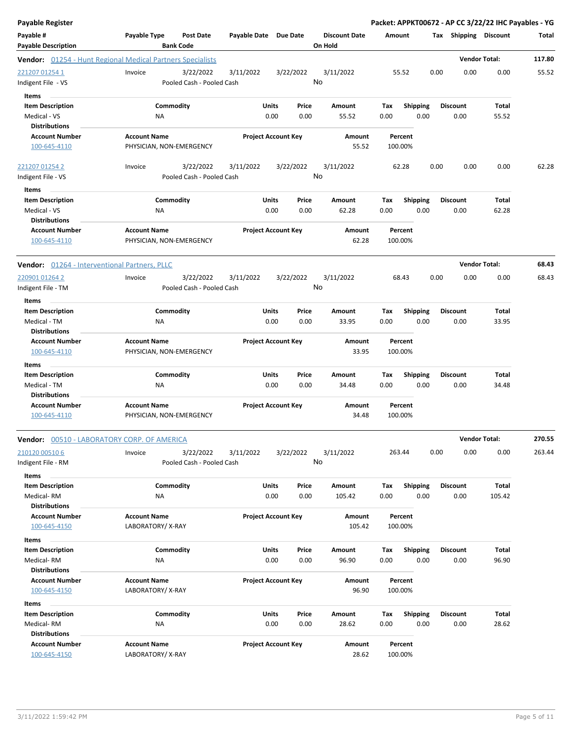| Payable Register                                           |                                                      |              |                            |                                 |             |                  | Packet: APPKT00672 - AP CC 3/22/22 IHC Payables - YG |                      |        |
|------------------------------------------------------------|------------------------------------------------------|--------------|----------------------------|---------------------------------|-------------|------------------|------------------------------------------------------|----------------------|--------|
| Payable #<br><b>Payable Description</b>                    | Payable Type<br><b>Post Date</b><br><b>Bank Code</b> | Payable Date | <b>Due Date</b>            | <b>Discount Date</b><br>On Hold | Amount      |                  | Tax Shipping Discount                                |                      | Total  |
| Vendor: 01254 - Hunt Regional Medical Partners Specialists |                                                      |              |                            |                                 |             |                  |                                                      | <b>Vendor Total:</b> | 117.80 |
| 221207 01254 1<br>Indigent File - VS                       | Invoice<br>3/22/2022<br>Pooled Cash - Pooled Cash    | 3/11/2022    | 3/22/2022                  | 3/11/2022<br>No                 |             | 55.52            | 0.00<br>0.00                                         | 0.00                 | 55.52  |
| Items                                                      |                                                      |              |                            |                                 |             |                  |                                                      |                      |        |
| <b>Item Description</b>                                    | Commodity                                            | Units        | Price                      | Amount                          | Tax         | <b>Shipping</b>  | <b>Discount</b>                                      | Total                |        |
| Medical - VS                                               | ΝA                                                   |              | 0.00<br>0.00               | 55.52                           | 0.00        | 0.00             | 0.00                                                 | 55.52                |        |
| <b>Distributions</b>                                       |                                                      |              |                            |                                 |             |                  |                                                      |                      |        |
| <b>Account Number</b>                                      | <b>Account Name</b>                                  |              | <b>Project Account Key</b> | <b>Amount</b>                   |             | Percent          |                                                      |                      |        |
| 100-645-4110                                               | PHYSICIAN, NON-EMERGENCY                             |              |                            | 55.52                           |             | 100.00%          |                                                      |                      |        |
| 221207 01254 2                                             | 3/22/2022<br>Invoice                                 | 3/11/2022    | 3/22/2022                  | 3/11/2022                       |             | 62.28            | 0.00<br>0.00                                         | 0.00                 | 62.28  |
| Indigent File - VS                                         | Pooled Cash - Pooled Cash                            |              |                            | No                              |             |                  |                                                      |                      |        |
| Items                                                      |                                                      |              |                            |                                 |             |                  |                                                      |                      |        |
| <b>Item Description</b>                                    | Commodity                                            | Units        | Price                      | Amount                          | Tax         | <b>Shipping</b>  | <b>Discount</b>                                      | Total                |        |
| Medical - VS                                               | NA                                                   |              | 0.00<br>0.00               | 62.28                           | 0.00        | 0.00             | 0.00                                                 | 62.28                |        |
| <b>Distributions</b>                                       |                                                      |              |                            |                                 |             |                  |                                                      |                      |        |
| <b>Account Number</b>                                      | <b>Account Name</b>                                  |              | <b>Project Account Key</b> | Amount                          |             | Percent          |                                                      |                      |        |
| 100-645-4110                                               | PHYSICIAN, NON-EMERGENCY                             |              |                            | 62.28                           |             | 100.00%          |                                                      |                      |        |
| Vendor: 01264 - Interventional Partners, PLLC              |                                                      |              |                            |                                 |             |                  |                                                      | <b>Vendor Total:</b> | 68.43  |
| 220901 01264 2                                             | Invoice<br>3/22/2022                                 | 3/11/2022    | 3/22/2022                  | 3/11/2022                       |             | 68.43            | 0.00<br>0.00                                         | 0.00                 | 68.43  |
| Indigent File - TM                                         | Pooled Cash - Pooled Cash                            |              |                            | No                              |             |                  |                                                      |                      |        |
|                                                            |                                                      |              |                            |                                 |             |                  |                                                      |                      |        |
| Items                                                      |                                                      |              |                            |                                 |             |                  |                                                      |                      |        |
| <b>Item Description</b>                                    | Commodity                                            | Units        | Price                      | Amount                          | Tax         | <b>Shipping</b>  | <b>Discount</b>                                      | Total                |        |
| Medical - TM<br><b>Distributions</b>                       | NA                                                   |              | 0.00<br>0.00               | 33.95                           | 0.00        | 0.00             | 0.00                                                 | 33.95                |        |
| <b>Account Number</b>                                      | <b>Account Name</b>                                  |              | <b>Project Account Key</b> | Amount                          |             | Percent          |                                                      |                      |        |
| 100-645-4110                                               | PHYSICIAN, NON-EMERGENCY                             |              |                            | 33.95                           |             | 100.00%          |                                                      |                      |        |
|                                                            |                                                      |              |                            |                                 |             |                  |                                                      |                      |        |
| Items                                                      |                                                      |              |                            |                                 |             |                  |                                                      |                      |        |
| <b>Item Description</b>                                    | Commodity                                            | Units        | Price                      | Amount                          | Tax         | <b>Shipping</b>  | <b>Discount</b>                                      | Total                |        |
| Medical - TM                                               | NA                                                   |              | 0.00<br>0.00               | 34.48                           | 0.00        | 0.00             | 0.00                                                 | 34.48                |        |
| <b>Distributions</b>                                       |                                                      |              |                            |                                 |             |                  |                                                      |                      |        |
| <b>Account Number</b>                                      | <b>Account Name</b>                                  |              | <b>Project Account Key</b> | Amount                          |             | Percent          |                                                      |                      |        |
| 100-645-4110                                               | PHYSICIAN, NON-EMERGENCY                             |              |                            | 34.48                           |             | 100.00%          |                                                      |                      |        |
| Vendor: 00510 - LABORATORY CORP. OF AMERICA                |                                                      |              |                            |                                 |             |                  |                                                      | <b>Vendor Total:</b> | 270.55 |
| 210120 00510 6                                             | 3/22/2022<br>Invoice                                 | 3/11/2022    | 3/22/2022                  | 3/11/2022                       |             | 263.44           | 0.00<br>0.00                                         | 0.00                 | 263.44 |
| Indigent File - RM                                         | Pooled Cash - Pooled Cash                            |              |                            | No                              |             |                  |                                                      |                      |        |
| Items                                                      |                                                      |              |                            |                                 |             |                  |                                                      |                      |        |
| <b>Item Description</b>                                    | Commodity                                            | Units        | Price                      | Amount                          | Tax         | <b>Shipping</b>  | <b>Discount</b>                                      | Total                |        |
| Medical-RM                                                 | ΝA                                                   |              | 0.00<br>0.00               | 105.42                          | 0.00        | 0.00             | 0.00                                                 | 105.42               |        |
| <b>Distributions</b>                                       |                                                      |              |                            |                                 |             |                  |                                                      |                      |        |
| <b>Account Number</b>                                      | <b>Account Name</b>                                  |              | <b>Project Account Key</b> | Amount                          |             | Percent          |                                                      |                      |        |
| 100-645-4150                                               | LABORATORY/X-RAY                                     |              |                            | 105.42                          |             | 100.00%          |                                                      |                      |        |
| Items                                                      |                                                      |              |                            |                                 |             |                  |                                                      |                      |        |
| <b>Item Description</b>                                    | Commodity                                            | Units        | Price                      | Amount                          | Tax         | <b>Shipping</b>  | <b>Discount</b>                                      | Total                |        |
| Medical-RM                                                 | NA                                                   |              | 0.00<br>0.00               | 96.90                           | 0.00        | 0.00             | 0.00                                                 | 96.90                |        |
| <b>Distributions</b>                                       |                                                      |              |                            |                                 |             |                  |                                                      |                      |        |
| <b>Account Number</b>                                      | <b>Account Name</b>                                  |              | <b>Project Account Key</b> | Amount                          |             | Percent          |                                                      |                      |        |
| 100-645-4150                                               | LABORATORY/X-RAY                                     |              |                            | 96.90                           |             | 100.00%          |                                                      |                      |        |
|                                                            |                                                      |              |                            |                                 |             |                  |                                                      |                      |        |
| Items                                                      |                                                      |              |                            |                                 |             |                  |                                                      |                      |        |
| <b>Item Description</b><br>Medical-RM                      | Commodity<br>ΝA                                      | Units        | Price<br>0.00<br>0.00      | Amount<br>28.62                 | Tax<br>0.00 | Shipping<br>0.00 | <b>Discount</b><br>0.00                              | Total<br>28.62       |        |
| <b>Distributions</b>                                       |                                                      |              |                            |                                 |             |                  |                                                      |                      |        |
| <b>Account Number</b>                                      | <b>Account Name</b>                                  |              | <b>Project Account Key</b> | Amount                          |             | Percent          |                                                      |                      |        |
| 100-645-4150                                               | LABORATORY/X-RAY                                     |              |                            | 28.62                           |             | 100.00%          |                                                      |                      |        |
|                                                            |                                                      |              |                            |                                 |             |                  |                                                      |                      |        |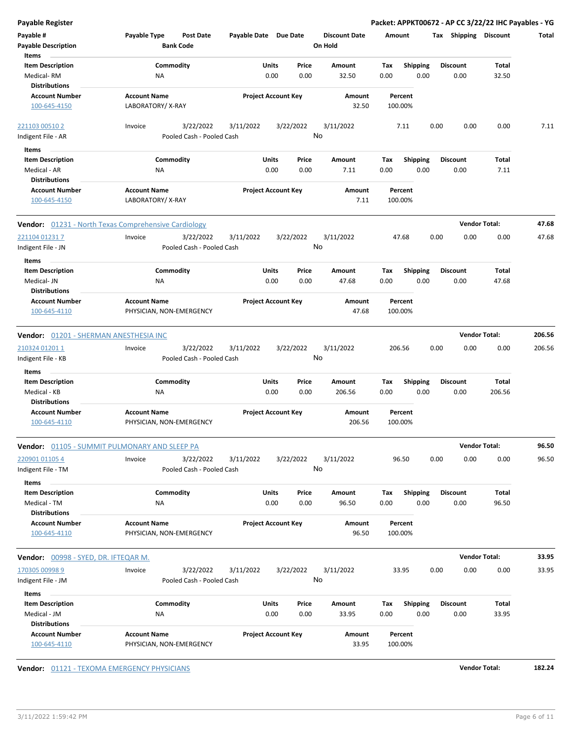| <b>Payable Register</b>                |                                                      |                            |           |                      | Packet: APPKT00672 - AP CC 3/22/22 IHC Payables - YG |      |                       |                      |        |
|----------------------------------------|------------------------------------------------------|----------------------------|-----------|----------------------|------------------------------------------------------|------|-----------------------|----------------------|--------|
| Payable #                              | Payable Type<br><b>Post Date</b>                     | Payable Date Due Date      |           | <b>Discount Date</b> | Amount                                               |      | Tax Shipping Discount |                      | Total  |
| <b>Payable Description</b>             | <b>Bank Code</b>                                     |                            |           | On Hold              |                                                      |      |                       |                      |        |
| Items                                  |                                                      |                            |           |                      |                                                      |      |                       |                      |        |
| <b>Item Description</b>                | Commodity                                            | Units                      | Price     | Amount               | Shipping<br>Tax                                      |      | <b>Discount</b>       | Total                |        |
| Medical-RM                             | NA                                                   | 0.00                       | 0.00      | 32.50                | 0.00                                                 | 0.00 | 0.00                  | 32.50                |        |
| <b>Distributions</b>                   |                                                      |                            |           |                      |                                                      |      |                       |                      |        |
| <b>Account Number</b><br>100-645-4150  | <b>Account Name</b><br>LABORATORY/X-RAY              | <b>Project Account Key</b> |           | Amount<br>32.50      | Percent<br>100.00%                                   |      |                       |                      |        |
| 221103 00510 2                         | 3/22/2022<br>Invoice                                 | 3/11/2022                  | 3/22/2022 | 3/11/2022            | 7.11                                                 | 0.00 | 0.00                  | 0.00                 | 7.11   |
| Indigent File - AR                     | Pooled Cash - Pooled Cash                            |                            |           | No                   |                                                      |      |                       |                      |        |
| Items                                  |                                                      |                            |           |                      |                                                      |      |                       |                      |        |
| <b>Item Description</b>                | Commodity                                            | Units                      | Price     | Amount               | <b>Shipping</b><br>Tax                               |      | Discount              | Total                |        |
| Medical - AR                           | ΝA                                                   | 0.00                       | 0.00      | 7.11                 | 0.00                                                 | 0.00 | 0.00                  | 7.11                 |        |
| <b>Distributions</b>                   |                                                      |                            |           |                      |                                                      |      |                       |                      |        |
| <b>Account Number</b>                  | <b>Account Name</b>                                  | <b>Project Account Key</b> |           | Amount               | Percent                                              |      |                       |                      |        |
| 100-645-4150                           | LABORATORY/X-RAY                                     |                            |           | 7.11                 | 100.00%                                              |      |                       |                      |        |
|                                        | Vendor: 01231 - North Texas Comprehensive Cardiology |                            |           |                      |                                                      |      |                       | <b>Vendor Total:</b> | 47.68  |
| 221104 01231 7                         | Invoice<br>3/22/2022                                 | 3/11/2022                  | 3/22/2022 | 3/11/2022            | 47.68                                                | 0.00 | 0.00                  | 0.00                 | 47.68  |
| Indigent File - JN                     | Pooled Cash - Pooled Cash                            |                            |           | No                   |                                                      |      |                       |                      |        |
| Items                                  |                                                      |                            |           |                      |                                                      |      |                       |                      |        |
| <b>Item Description</b>                | Commodity                                            | Units                      | Price     | Amount               | <b>Shipping</b><br>Tax                               |      | <b>Discount</b>       | Total                |        |
| Medical- JN<br><b>Distributions</b>    | NA                                                   | 0.00                       | 0.00      | 47.68                | 0.00                                                 | 0.00 | 0.00                  | 47.68                |        |
| <b>Account Number</b>                  | <b>Account Name</b>                                  | <b>Project Account Key</b> |           | Amount               | Percent                                              |      |                       |                      |        |
| 100-645-4110                           | PHYSICIAN, NON-EMERGENCY                             |                            |           | 47.68                | 100.00%                                              |      |                       |                      |        |
|                                        |                                                      |                            |           |                      |                                                      |      |                       |                      |        |
| Vendor: 01201 - SHERMAN ANESTHESIA INC |                                                      |                            |           |                      |                                                      |      |                       | <b>Vendor Total:</b> | 206.56 |
| 210324 01201 1                         | 3/22/2022<br>Invoice                                 | 3/11/2022                  | 3/22/2022 | 3/11/2022            | 206.56                                               | 0.00 | 0.00                  | 0.00                 | 206.56 |
| Indigent File - KB                     | Pooled Cash - Pooled Cash                            |                            |           | No                   |                                                      |      |                       |                      |        |
|                                        |                                                      |                            |           |                      |                                                      |      |                       |                      |        |
| Items                                  |                                                      |                            |           |                      |                                                      |      |                       |                      |        |
| <b>Item Description</b>                | Commodity                                            | Units                      | Price     | Amount               | <b>Shipping</b><br>Tax                               |      | Discount              | Total                |        |
| Medical - KB<br><b>Distributions</b>   | NA                                                   | 0.00                       | 0.00      | 206.56               | 0.00                                                 | 0.00 | 0.00                  | 206.56               |        |
|                                        |                                                      |                            |           |                      |                                                      |      |                       |                      |        |
| <b>Account Number</b>                  | <b>Account Name</b>                                  | <b>Project Account Key</b> |           | Amount               | Percent                                              |      |                       |                      |        |
| 100-645-4110                           | PHYSICIAN, NON-EMERGENCY                             |                            |           | 206.56               | 100.00%                                              |      |                       |                      |        |
|                                        | Vendor: 01105 - SUMMIT PULMONARY AND SLEEP PA        |                            |           |                      |                                                      |      |                       | <b>Vendor Total:</b> | 96.50  |
| 220901 01105 4                         | 3/22/2022<br>Invoice                                 | 3/11/2022                  | 3/22/2022 | 3/11/2022            | 96.50                                                | 0.00 | 0.00                  | 0.00                 | 96.50  |
| Indigent File - TM                     | Pooled Cash - Pooled Cash                            |                            |           | No                   |                                                      |      |                       |                      |        |
| Items                                  |                                                      |                            |           |                      |                                                      |      |                       |                      |        |
| <b>Item Description</b>                | Commodity                                            | Units                      | Price     | Amount               | <b>Shipping</b><br>Tax                               |      | <b>Discount</b>       | Total                |        |
| Medical - TM                           | ΝA                                                   | 0.00                       | 0.00      | 96.50                | 0.00                                                 | 0.00 | 0.00                  | 96.50                |        |
| <b>Distributions</b>                   |                                                      |                            |           |                      |                                                      |      |                       |                      |        |
| <b>Account Number</b>                  | <b>Account Name</b>                                  | <b>Project Account Key</b> |           | Amount               | Percent                                              |      |                       |                      |        |
| 100-645-4110                           | PHYSICIAN, NON-EMERGENCY                             |                            |           | 96.50                | 100.00%                                              |      |                       |                      |        |
| Vendor: 00998 - SYED, DR. IFTEQAR M.   |                                                      |                            |           |                      |                                                      |      |                       | <b>Vendor Total:</b> | 33.95  |
| 170305 00998 9                         | 3/22/2022<br>Invoice                                 | 3/11/2022                  | 3/22/2022 | 3/11/2022            | 33.95                                                | 0.00 | 0.00                  | 0.00                 | 33.95  |
| Indigent File - JM                     | Pooled Cash - Pooled Cash                            |                            |           | No                   |                                                      |      |                       |                      |        |
| Items                                  |                                                      |                            |           |                      |                                                      |      |                       |                      |        |
| <b>Item Description</b>                | Commodity                                            | Units                      | Price     | Amount               | Shipping<br>Tax                                      |      | <b>Discount</b>       | Total                |        |
| Medical - JM                           | ΝA                                                   | 0.00                       | 0.00      | 33.95                | 0.00                                                 | 0.00 | 0.00                  | 33.95                |        |
| <b>Distributions</b>                   |                                                      |                            |           |                      |                                                      |      |                       |                      |        |
| <b>Account Number</b>                  | <b>Account Name</b>                                  | <b>Project Account Key</b> |           | Amount               | Percent                                              |      |                       |                      |        |
| 100-645-4110                           | PHYSICIAN, NON-EMERGENCY                             |                            |           | 33.95                | 100.00%                                              |      |                       |                      |        |

**Vendor:**  $01121 - TEXOMA EMERGENCY PHYSICIANS$  **182.24**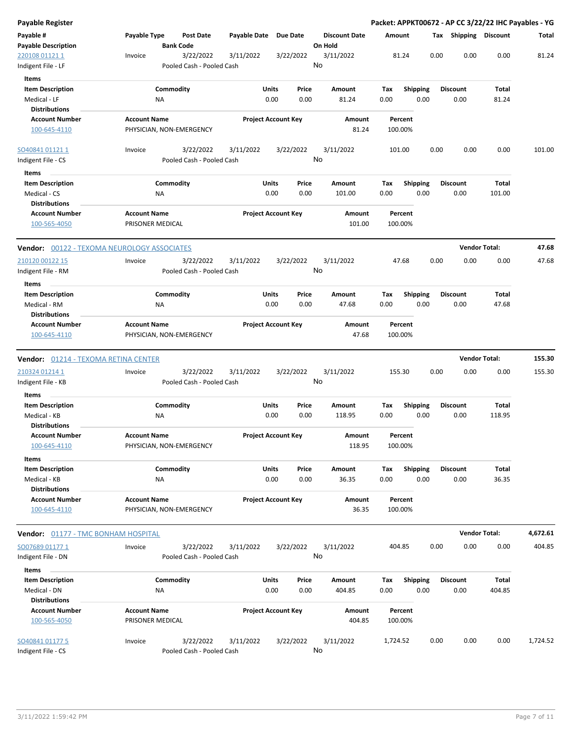| Payable Register                                                |                                                 |                                        |               |                            |                                 |                    |                         |      |                         | Packet: APPKT00672 - AP CC 3/22/22 IHC Payables - YG |          |
|-----------------------------------------------------------------|-------------------------------------------------|----------------------------------------|---------------|----------------------------|---------------------------------|--------------------|-------------------------|------|-------------------------|------------------------------------------------------|----------|
| Payable #<br><b>Payable Description</b>                         | Payable Type<br><b>Bank Code</b>                | <b>Post Date</b>                       | Payable Date  | <b>Due Date</b>            | <b>Discount Date</b><br>On Hold | Amount             |                         |      |                         | Tax Shipping Discount                                | Total    |
| 220108 01121 1<br>Indigent File - LF                            | Invoice                                         | 3/22/2022<br>Pooled Cash - Pooled Cash | 3/11/2022     | 3/22/2022                  | 3/11/2022<br>No                 | 81.24              |                         | 0.00 | 0.00                    | 0.00                                                 | 81.24    |
| Items                                                           |                                                 |                                        |               |                            |                                 |                    |                         |      |                         |                                                      |          |
| <b>Item Description</b><br>Medical - LF                         | Commodity<br>ΝA                                 |                                        | Units<br>0.00 | Price<br>0.00              | Amount<br>81.24                 | Tax<br>0.00        | <b>Shipping</b><br>0.00 |      | <b>Discount</b><br>0.00 | Total<br>81.24                                       |          |
| <b>Distributions</b>                                            |                                                 |                                        |               |                            |                                 |                    |                         |      |                         |                                                      |          |
| <b>Account Number</b><br>100-645-4110                           | <b>Account Name</b><br>PHYSICIAN, NON-EMERGENCY |                                        |               | <b>Project Account Key</b> | Amount<br>81.24                 | Percent<br>100.00% |                         |      |                         |                                                      |          |
| SO40841011211<br>Indigent File - CS                             | Invoice                                         | 3/22/2022<br>Pooled Cash - Pooled Cash | 3/11/2022     | 3/22/2022                  | 3/11/2022<br>No                 | 101.00             |                         | 0.00 | 0.00                    | 0.00                                                 | 101.00   |
| Items                                                           |                                                 |                                        |               |                            |                                 |                    |                         |      |                         |                                                      |          |
| <b>Item Description</b><br>Medical - CS<br><b>Distributions</b> | Commodity<br><b>NA</b>                          |                                        | Units<br>0.00 | Price<br>0.00              | Amount<br>101.00                | Tax<br>0.00        | <b>Shipping</b><br>0.00 |      | <b>Discount</b><br>0.00 | Total<br>101.00                                      |          |
| <b>Account Number</b><br>100-565-4050                           | <b>Account Name</b><br>PRISONER MEDICAL         |                                        |               | <b>Project Account Key</b> | Amount<br>101.00                | Percent<br>100.00% |                         |      |                         |                                                      |          |
| <b>Vendor:</b> 00122 - TEXOMA NEUROLOGY ASSOCIATES              |                                                 |                                        |               |                            |                                 |                    |                         |      | <b>Vendor Total:</b>    |                                                      | 47.68    |
| 210120 00122 15<br>Indigent File - RM                           | Invoice                                         | 3/22/2022<br>Pooled Cash - Pooled Cash | 3/11/2022     | 3/22/2022                  | 3/11/2022<br>No                 | 47.68              |                         | 0.00 | 0.00                    | 0.00                                                 | 47.68    |
| Items<br><b>Item Description</b>                                | Commodity                                       |                                        | Units         | Price                      | Amount                          | Tax                | <b>Shipping</b>         |      | Discount                | Total                                                |          |
| Medical - RM<br><b>Distributions</b>                            | ΝA                                              |                                        | 0.00          | 0.00                       | 47.68                           | 0.00               | 0.00                    |      | 0.00                    | 47.68                                                |          |
| <b>Account Number</b><br>100-645-4110                           | <b>Account Name</b><br>PHYSICIAN, NON-EMERGENCY |                                        |               | <b>Project Account Key</b> | Amount<br>47.68                 | Percent<br>100.00% |                         |      |                         |                                                      |          |
| <b>Vendor:    0</b> 1214 - TEXOMA RETINA CENTER                 |                                                 |                                        |               |                            |                                 |                    |                         |      | <b>Vendor Total:</b>    |                                                      | 155.30   |
| 210324 01214 1                                                  | Invoice                                         | 3/22/2022                              | 3/11/2022     | 3/22/2022                  | 3/11/2022                       | 155.30             |                         | 0.00 | 0.00                    | 0.00                                                 | 155.30   |
| Indigent File - KB                                              |                                                 | Pooled Cash - Pooled Cash              |               |                            | No                              |                    |                         |      |                         |                                                      |          |
| Items                                                           |                                                 |                                        |               |                            |                                 |                    |                         |      |                         |                                                      |          |
| <b>Item Description</b><br>Medical - KB                         | Commodity<br>ΝA                                 |                                        | Units<br>0.00 | Price<br>0.00              | Amount<br>118.95                | Tax<br>0.00        | <b>Shipping</b><br>0.00 |      | Discount<br>0.00        | Total<br>118.95                                      |          |
| <b>Distributions</b><br><b>Account Number</b><br>100-645-4110   | <b>Account Name</b><br>PHYSICIAN, NON-EMERGENCY |                                        |               | <b>Project Account Kev</b> | Amount<br>118.95                | Percent<br>100.00% |                         |      |                         |                                                      |          |
| Items                                                           |                                                 |                                        |               |                            |                                 |                    |                         |      |                         |                                                      |          |
| <b>Item Description</b><br>Medical - KB<br><b>Distributions</b> | Commodity<br>NA                                 |                                        | Units<br>0.00 | Price<br>0.00              | Amount<br>36.35                 | Tax<br>0.00        | <b>Shipping</b><br>0.00 |      | <b>Discount</b><br>0.00 | Total<br>36.35                                       |          |
| <b>Account Number</b><br>100-645-4110                           | <b>Account Name</b><br>PHYSICIAN, NON-EMERGENCY |                                        |               | <b>Project Account Key</b> | Amount<br>36.35                 | Percent<br>100.00% |                         |      |                         |                                                      |          |
| <b>Vendor:</b> 01177 - TMC BONHAM HOSPITAL                      |                                                 |                                        |               |                            |                                 |                    |                         |      | <b>Vendor Total:</b>    |                                                      | 4,672.61 |
| SO07689 01177 1                                                 | Invoice                                         | 3/22/2022                              | 3/11/2022     | 3/22/2022                  | 3/11/2022                       | 404.85             |                         | 0.00 | 0.00                    | 0.00                                                 | 404.85   |
| Indigent File - DN                                              |                                                 | Pooled Cash - Pooled Cash              |               |                            | No                              |                    |                         |      |                         |                                                      |          |
| Items                                                           |                                                 |                                        |               |                            |                                 |                    |                         |      |                         |                                                      |          |
| <b>Item Description</b><br>Medical - DN<br><b>Distributions</b> | Commodity<br><b>NA</b>                          |                                        | Units<br>0.00 | Price<br>0.00              | Amount<br>404.85                | Tax<br>0.00        | <b>Shipping</b><br>0.00 |      | <b>Discount</b><br>0.00 | Total<br>404.85                                      |          |
| <b>Account Number</b><br>100-565-4050                           | <b>Account Name</b><br>PRISONER MEDICAL         |                                        |               | <b>Project Account Key</b> | Amount<br>404.85                | Percent<br>100.00% |                         |      |                         |                                                      |          |
| SO40841 01177 5<br>Indigent File - CS                           | Invoice                                         | 3/22/2022<br>Pooled Cash - Pooled Cash | 3/11/2022     | 3/22/2022                  | 3/11/2022<br>No                 | 1,724.52           |                         | 0.00 | 0.00                    | 0.00                                                 | 1,724.52 |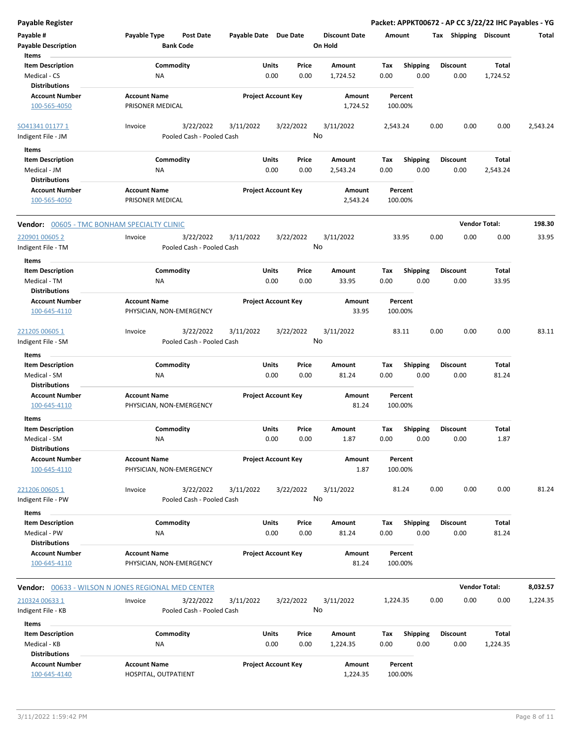**Payable Register Packet: APPKT00672 - AP CC 3/22/22 IHC Payables - YG Payable # Payable Type Post Date Payable Date Due Date Payable Description Bank Code Discount Date Amount Tax Shipping Discount Total On Hold** 0.00 0.00 **Units** Medical - CS 0.00 **Item Description** 1,724.52 **Price Amount Tax** 0.00 1,724.52 Commodity **Shipping Shipping Commodity Shipping Discount** Total NA **Items** 0.00 **Discount Account Number Account Name Project Account Key Amount Distributions Percent** 100-565-4050 PRISONER MEDICAL 1,724.52 100.00% 3/22/2022 3/11/2022 3/22/2022 Indigent File - JM Pooled Cash - Pooled Cash  $\frac{SO41341\,01177\,1}{2}$  Invoice 3/22/2022 3/11/2022 3/22/2022 3/11/2022 2,543.24 0.00 0.00 0.00 2,543.24 No 0.00 0.00 **Units** Medical - JM 0.00 **Item Description** 2,543.24 **Price Amount Tax** 0.00 2,543.24 Commodity **Shipping Shipping Commodity Shipping Discount** Total NA **Items** 0.00 **Discount Account Number Account Name Project Account Key Amount Distributions Percent** 100-565-4050 PRISONER MEDICAL 2,543.24 100.00% **Vendor:** 00605 - TMC BONHAM SPECIALTY CLINIC **Vendor Total: 198.30** 3/22/2022 3/11/2022 3/22/2022 Indigent File - TM **Pooled Cash - Pooled Cash** 220901 00605 2 Invoice 3/11/2022 33.95 0.00 0.00 0.00 33.95 No 0.00 0.00 **Units** Medical - TM 0.00 **Item Description** 33.95 **Price Amount Tax** 0.00 33.95 Commodity **Shipping Example 1 Commodity Shipping Discount** Total NA **Items** 0.00 **Discount Account Number Account Name Project Account Key Amount Distributions Percent** 100-645-4110 PHYSICIAN, NON-EMERGENCY 33.95 100.00% 3/22/2022 3/11/2022 3/22/2022 Indigent File - SM **Pooled Cash - Pooled Cash**  $\frac{221205\,00605\,1}{0.000}$  anvoice  $\frac{3}{22}/2022$   $\frac{3}{11}/2022$   $\frac{3}{22}/2022$   $\frac{3}{11}/2022$   $\frac{3}{11}/2022$   $\frac{83.11}{0.00}$   $\frac{0.00}{0.00}$   $\frac{83.11}{0.00}$ No 0.00 0.00 **Units** Medical - SM 0.00 **Item Description** 81.24 **Price Amount Tax** 0.00 81.24 Commodity **Shipping Example 1 Commodity Shipping Discount** Total NA **Items** 0.00 **Discount Account Number Account Name Project Account Key Amount Distributions Percent** 100-645-4110 PHYSICIAN, NON-EMERGENCY 81.24 100.00% 0.00 0.00 **Units** Medical - SM 0.00 **Item Description** 1.87 **Price Amount Tax** 0.00 1.87 0.00 Commodity **Shipping Shipping Commodity Shipping Discount** Total NA **Items Discount Account Number Account Name Project Account Key Amount Distributions Percent** 100-645-4110 PHYSICIAN, NON-EMERGENCY 1.87 100.00% 3/22/2022 3/11/2022 3/22/2022 Indigent File - PW Pooled Cash - Pooled Cash  $\frac{221206\,00605\,1}{0.000}$  anvoice  $\frac{3}{22}/2022$   $\frac{3}{11}/2022$   $\frac{3}{22}/2022$   $\frac{3}{11}/2022$   $\frac{3}{11}/2022$   $\frac{81.24}{0.00}$   $\frac{0.00}{0.00}$   $\frac{81.24}{0.00}$ No 0.00 0.00 **Units** Medical - PW NA 0.00 0.00 81.24 0.00 **Item Description** 81.24 **Price Amount Tax** 0.00 81.24 Commodity **Shipping Example 1 Commodity Shipping Discount** Total NA **Items** 0.00 **Discount Account Number Account Name Project Account Key Amount Distributions Percent** 100-645-4110 PHYSICIAN, NON-EMERGENCY 81.24 100.00% **Vendor:** 00633 - WILSON N JONES REGIONAL MED CENTER **Vendor Total: 8,032.57** 3/22/2022 3/11/2022 3/22/2022 Indigent File - KB Pooled Cash - Pooled Cash 210324 00633 1 Invoice 3/11/2022 1,224.35 0.00 0.00 0.00 1,224.35 No 0.00 0.00 **Units** Medical - KB 0.00 **Item Description** 1,224.35 **Price Amount Tax** 0.00 1,224.35 Commodity **Shipping Example 1 Commodity Shipping Discount** Total NA **Items** 0.00 **Discount Account Number Account Name Project Account Key Amount Distributions Percent** 100-645-4140 HOSPITAL, OUTPATIENT 1,224.35 100.00%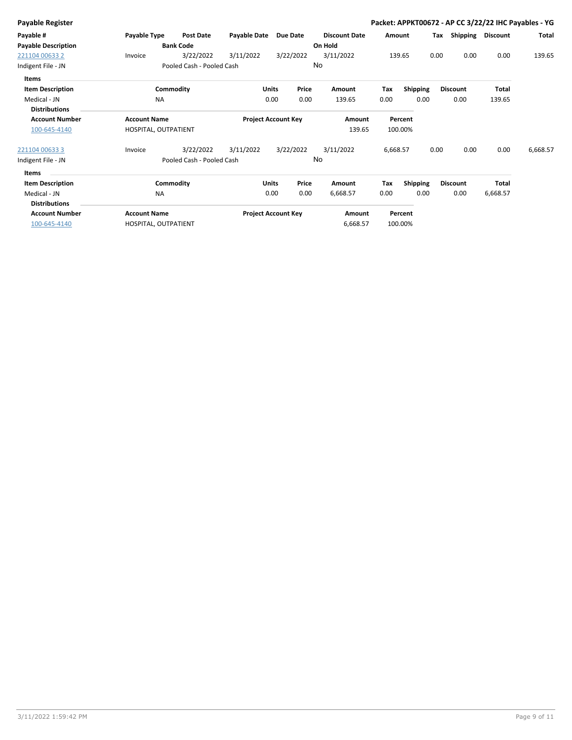| Payable Type        | <b>Post Date</b> | Payable Date                                                       | <b>Due Date</b>                                        | <b>Discount Date</b>                                                                                     |                     |        | Tax                                                           | <b>Discount</b>                                    | Total                                                                                                           |
|---------------------|------------------|--------------------------------------------------------------------|--------------------------------------------------------|----------------------------------------------------------------------------------------------------------|---------------------|--------|---------------------------------------------------------------|----------------------------------------------------|-----------------------------------------------------------------------------------------------------------------|
|                     |                  |                                                                    |                                                        |                                                                                                          |                     |        |                                                               |                                                    |                                                                                                                 |
| Invoice             | 3/22/2022        | 3/11/2022                                                          | 3/22/2022                                              | 3/11/2022                                                                                                |                     |        | 0.00                                                          | 0.00                                               | 139.65                                                                                                          |
|                     |                  |                                                                    |                                                        |                                                                                                          |                     |        |                                                               |                                                    |                                                                                                                 |
|                     |                  |                                                                    |                                                        |                                                                                                          |                     |        |                                                               |                                                    |                                                                                                                 |
|                     |                  |                                                                    | Price                                                  | Amount                                                                                                   | Tax                 |        | <b>Discount</b>                                               | <b>Total</b>                                       |                                                                                                                 |
| <b>NA</b>           |                  |                                                                    | 0.00                                                   | 139.65                                                                                                   | 0.00                | 0.00   | 0.00                                                          | 139.65                                             |                                                                                                                 |
|                     |                  |                                                                    |                                                        |                                                                                                          |                     |        |                                                               |                                                    |                                                                                                                 |
| <b>Account Name</b> |                  |                                                                    |                                                        | Amount                                                                                                   |                     |        |                                                               |                                                    |                                                                                                                 |
|                     |                  |                                                                    |                                                        |                                                                                                          |                     |        |                                                               |                                                    |                                                                                                                 |
| Invoice             | 3/22/2022        | 3/11/2022                                                          | 3/22/2022                                              | 3/11/2022                                                                                                |                     |        | 0.00                                                          | 0.00                                               | 6,668.57                                                                                                        |
|                     |                  |                                                                    |                                                        |                                                                                                          |                     |        |                                                               |                                                    |                                                                                                                 |
|                     |                  |                                                                    |                                                        |                                                                                                          |                     |        |                                                               |                                                    |                                                                                                                 |
|                     |                  |                                                                    | Price                                                  | Amount                                                                                                   | Tax                 |        | <b>Discount</b>                                               | Total                                              |                                                                                                                 |
| <b>NA</b>           |                  |                                                                    | 0.00                                                   | 6,668.57                                                                                                 | 0.00                | 0.00   | 0.00                                                          | 6,668.57                                           |                                                                                                                 |
|                     |                  |                                                                    |                                                        |                                                                                                          |                     |        |                                                               |                                                    |                                                                                                                 |
| <b>Account Name</b> |                  |                                                                    |                                                        | Amount                                                                                                   |                     |        |                                                               |                                                    |                                                                                                                 |
|                     |                  |                                                                    |                                                        |                                                                                                          |                     |        |                                                               |                                                    |                                                                                                                 |
|                     |                  | <b>Bank Code</b><br>Commodity<br>HOSPITAL, OUTPATIENT<br>Commodity | Pooled Cash - Pooled Cash<br>Pooled Cash - Pooled Cash | <b>Units</b><br>0.00<br><b>Project Account Key</b><br><b>Units</b><br>0.00<br><b>Project Account Key</b> | On Hold<br>No<br>No | 139.65 | Amount<br>139.65<br>Percent<br>100.00%<br>6,668.57<br>Percent | 0.00<br><b>Shipping</b><br>0.00<br><b>Shipping</b> | Packet: APPKT00672 - AP CC 3/22/22 IHC Payables - YG<br>Shipping<br>6,668.57<br>HOSPITAL, OUTPATIENT<br>100.00% |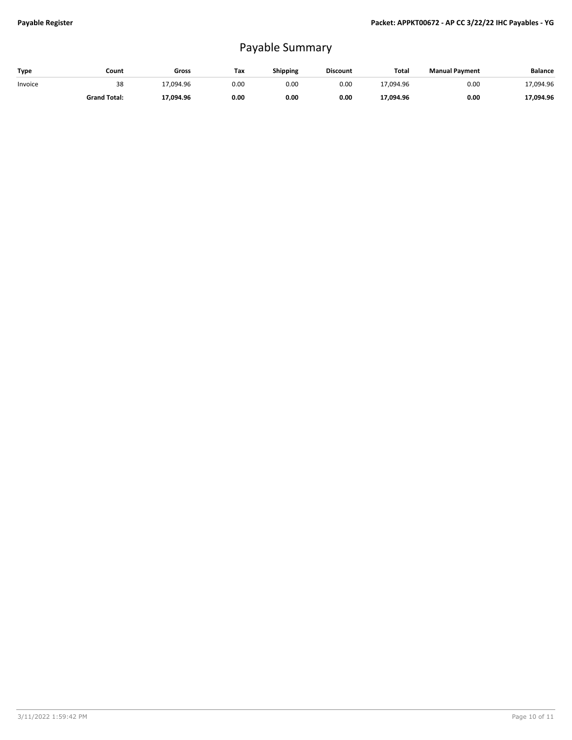## Payable Summary

| Type    | Count               | Gross     | Tax  | <b>Shipping</b> | <b>Discount</b> | Total     | <b>Manual Payment</b> | <b>Balance</b> |
|---------|---------------------|-----------|------|-----------------|-----------------|-----------|-----------------------|----------------|
| Invoice | 38                  | 17,094.96 | 0.00 | 0.00            | 0.00            | 17.094.96 | 0.00                  | 17,094.96      |
|         | <b>Grand Total:</b> | 17,094.96 | 0.00 | 0.00            | 0.00            | 17,094.96 | 0.00                  | 17,094.96      |